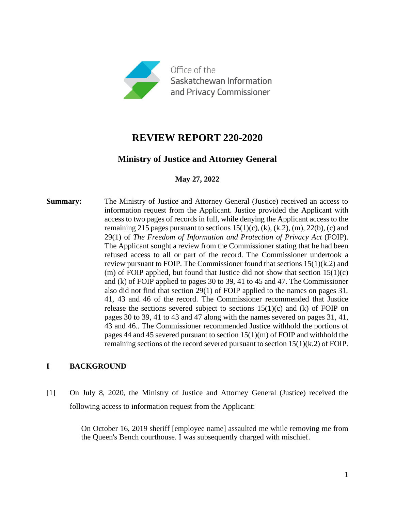

# **REVIEW REPORT 220-2020**

## **Ministry of Justice and Attorney General**

**May 27, 2022**

**Summary:** The Ministry of Justice and Attorney General (Justice) received an access to information request from the Applicant. Justice provided the Applicant with access to two pages of records in full, while denying the Applicant access to the remaining 215 pages pursuant to sections  $15(1)(c)$ , (k), (k, 2), (m), 22(b), (c) and 29(1) of *The Freedom of Information and Protection of Privacy Act* (FOIP). The Applicant sought a review from the Commissioner stating that he had been refused access to all or part of the record. The Commissioner undertook a review pursuant to FOIP. The Commissioner found that sections 15(1)(k.2) and (m) of FOIP applied, but found that Justice did not show that section  $15(1)(c)$ and (k) of FOIP applied to pages 30 to 39, 41 to 45 and 47. The Commissioner also did not find that section 29(1) of FOIP applied to the names on pages 31, 41, 43 and 46 of the record. The Commissioner recommended that Justice release the sections severed subject to sections  $15(1)(c)$  and (k) of FOIP on pages 30 to 39, 41 to 43 and 47 along with the names severed on pages 31, 41, 43 and 46.. The Commissioner recommended Justice withhold the portions of pages 44 and 45 severed pursuant to section  $15(1)(m)$  of FOIP and withhold the remaining sections of the record severed pursuant to section 15(1)(k.2) of FOIP.

## **I BACKGROUND**

[1] On July 8, 2020, the Ministry of Justice and Attorney General (Justice) received the following access to information request from the Applicant:

> On October 16, 2019 sheriff [employee name] assaulted me while removing me from the Queen's Bench courthouse. I was subsequently charged with mischief.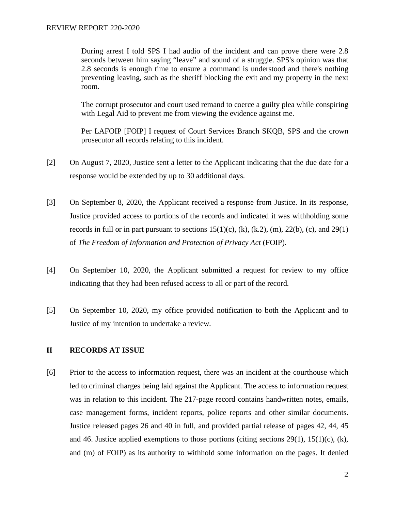During arrest I told SPS I had audio of the incident and can prove there were 2.8 seconds between him saying "leave" and sound of a struggle. SPS's opinion was that 2.8 seconds is enough time to ensure a command is understood and there's nothing preventing leaving, such as the sheriff blocking the exit and my property in the next room.

The corrupt prosecutor and court used remand to coerce a guilty plea while conspiring with Legal Aid to prevent me from viewing the evidence against me.

Per LAFOIP [FOIP] I request of Court Services Branch SKQB, SPS and the crown prosecutor all records relating to this incident.

- [2] On August 7, 2020, Justice sent a letter to the Applicant indicating that the due date for a response would be extended by up to 30 additional days.
- [3] On September 8, 2020, the Applicant received a response from Justice. In its response, Justice provided access to portions of the records and indicated it was withholding some records in full or in part pursuant to sections  $15(1)(c)$ , (k), (k,2), (m), 22(b), (c), and 29(1) of *The Freedom of Information and Protection of Privacy Act* (FOIP).
- [4] On September 10, 2020, the Applicant submitted a request for review to my office indicating that they had been refused access to all or part of the record.
- [5] On September 10, 2020, my office provided notification to both the Applicant and to Justice of my intention to undertake a review.

## **II RECORDS AT ISSUE**

[6] Prior to the access to information request, there was an incident at the courthouse which led to criminal charges being laid against the Applicant. The access to information request was in relation to this incident. The 217-page record contains handwritten notes, emails, case management forms, incident reports, police reports and other similar documents. Justice released pages 26 and 40 in full, and provided partial release of pages 42, 44, 45 and 46. Justice applied exemptions to those portions (citing sections  $29(1)$ ,  $15(1)(c)$ , (k), and (m) of FOIP) as its authority to withhold some information on the pages. It denied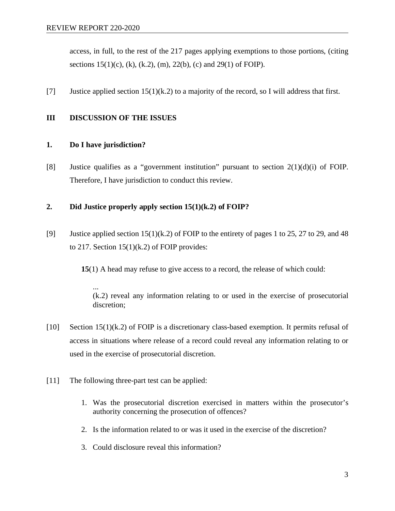access, in full, to the rest of the 217 pages applying exemptions to those portions, (citing sections  $15(1)(c)$ , (k), (k.2), (m), 22(b), (c) and 29(1) of FOIP).

[7] Justice applied section  $15(1)(k.2)$  to a majority of the record, so I will address that first.

## **III DISCUSSION OF THE ISSUES**

## **1. Do I have jurisdiction?**

[8] Justice qualifies as a "government institution" pursuant to section 2(1)(d)(i) of FOIP. Therefore, I have jurisdiction to conduct this review.

## **2. Did Justice properly apply section 15(1)(k.2) of FOIP?**

[9] Justice applied section  $15(1)(k.2)$  of FOIP to the entirety of pages 1 to 25, 27 to 29, and 48 to 217. Section  $15(1)(k.2)$  of FOIP provides:

**15**(1) A head may refuse to give access to a record, the release of which could:

... (k.2) reveal any information relating to or used in the exercise of prosecutorial discretion;

- $[10]$  Section 15(1)(k.2) of FOIP is a discretionary class-based exemption. It permits refusal of access in situations where release of a record could reveal any information relating to or used in the exercise of prosecutorial discretion.
- [11] The following three-part test can be applied:
	- 1. Was the prosecutorial discretion exercised in matters within the prosecutor's authority concerning the prosecution of offences?
	- 2. Is the information related to or was it used in the exercise of the discretion?
	- 3. Could disclosure reveal this information?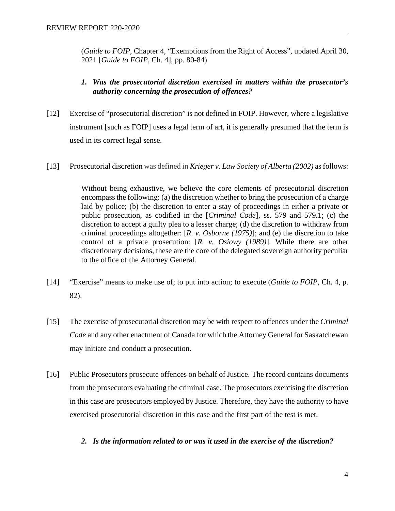(*Guide to FOIP,* Chapter 4, "Exemptions from the Right of Access", updated April 30, 2021 [*Guide to FOIP*, Ch. 4], pp. 80-84)

## *1. Was the prosecutorial discretion exercised in matters within the prosecutor's authority concerning the prosecution of offences?*

- [12] Exercise of "prosecutorial discretion" is not defined in FOIP. However, where a legislative instrument [such as FOIP] uses a legal term of art, it is generally presumed that the term is used in its correct legal sense.
- [13] Prosecutorial discretion was defined in *Krieger v. Law Society of Alberta (2002)* as follows:

Without being exhaustive, we believe the core elements of prosecutorial discretion encompass the following: (a) the discretion whether to bring the prosecution of a charge laid by police; (b) the discretion to enter a stay of proceedings in either a private or public prosecution, as codified in the [*Criminal Code*], ss. 579 and 579.1; (c) the discretion to accept a guilty plea to a lesser charge; (d) the discretion to withdraw from criminal proceedings altogether: [*R. v. Osborne (1975)*]; and (e) the discretion to take control of a private prosecution: [*R. v. Osiowy (1989)*]. While there are other discretionary decisions, these are the core of the delegated sovereign authority peculiar to the office of the Attorney General.

- [14] "Exercise" means to make use of; to put into action; to execute (*Guide to FOIP*, Ch. 4, p. 82).
- [15] The exercise of prosecutorial discretion may be with respect to offences under the *Criminal Code* and any other enactment of Canada for which the Attorney General for Saskatchewan may initiate and conduct a prosecution.
- [16] Public Prosecutors prosecute offences on behalf of Justice. The record contains documents from the prosecutors evaluating the criminal case. The prosecutors exercising the discretion in this case are prosecutors employed by Justice. Therefore, they have the authority to have exercised prosecutorial discretion in this case and the first part of the test is met.

## *2. Is the information related to or was it used in the exercise of the discretion?*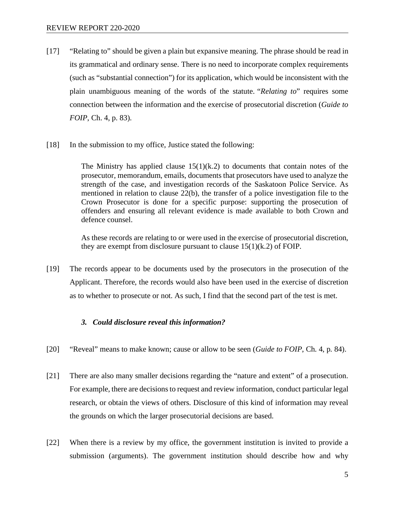- [17] "Relating to" should be given a plain but expansive meaning. The phrase should be read in its grammatical and ordinary sense. There is no need to incorporate complex requirements (such as "substantial connection") for its application, which would be inconsistent with the plain unambiguous meaning of the words of the statute. "*Relating to*" requires some connection between the information and the exercise of prosecutorial discretion (*Guide to FOIP*, Ch. 4, p. 83).
- [18] In the submission to my office, Justice stated the following:

The Ministry has applied clause  $15(1)(k.2)$  to documents that contain notes of the prosecutor, memorandum, emails, documents that prosecutors have used to analyze the strength of the case, and investigation records of the Saskatoon Police Service. As mentioned in relation to clause 22(b), the transfer of a police investigation file to the Crown Prosecutor is done for a specific purpose: supporting the prosecution of offenders and ensuring all relevant evidence is made available to both Crown and defence counsel.

As these records are relating to or were used in the exercise of prosecutorial discretion, they are exempt from disclosure pursuant to clause  $15(1)(k.2)$  of FOIP.

[19] The records appear to be documents used by the prosecutors in the prosecution of the Applicant. Therefore, the records would also have been used in the exercise of discretion as to whether to prosecute or not. As such, I find that the second part of the test is met.

#### *3. Could disclosure reveal this information?*

- [20] "Reveal" means to make known; cause or allow to be seen (*Guide to FOIP*, Ch. 4, p. 84).
- [21] There are also many smaller decisions regarding the "nature and extent" of a prosecution. For example, there are decisions to request and review information, conduct particular legal research, or obtain the views of others. Disclosure of this kind of information may reveal the grounds on which the larger prosecutorial decisions are based.
- [22] When there is a review by my office, the government institution is invited to provide a submission (arguments). The government institution should describe how and why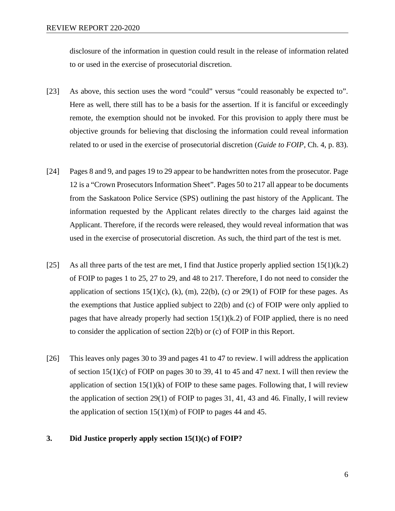disclosure of the information in question could result in the release of information related to or used in the exercise of prosecutorial discretion.

- [23] As above, this section uses the word "could" versus "could reasonably be expected to". Here as well, there still has to be a basis for the assertion. If it is fanciful or exceedingly remote, the exemption should not be invoked. For this provision to apply there must be objective grounds for believing that disclosing the information could reveal information related to or used in the exercise of prosecutorial discretion (*Guide to FOIP*, Ch. 4, p. 83).
- [24] Pages 8 and 9, and pages 19 to 29 appear to be handwritten notes from the prosecutor. Page 12 is a "Crown Prosecutors Information Sheet". Pages 50 to 217 all appear to be documents from the Saskatoon Police Service (SPS) outlining the past history of the Applicant. The information requested by the Applicant relates directly to the charges laid against the Applicant. Therefore, if the records were released, they would reveal information that was used in the exercise of prosecutorial discretion. As such, the third part of the test is met.
- [25] As all three parts of the test are met, I find that Justice properly applied section  $15(1)(k.2)$ of FOIP to pages 1 to 25, 27 to 29, and 48 to 217. Therefore, I do not need to consider the application of sections  $15(1)(c)$ , (k), (m),  $22(b)$ , (c) or  $29(1)$  of FOIP for these pages. As the exemptions that Justice applied subject to 22(b) and (c) of FOIP were only applied to pages that have already properly had section  $15(1)(k.2)$  of FOIP applied, there is no need to consider the application of section 22(b) or (c) of FOIP in this Report.
- [26] This leaves only pages 30 to 39 and pages 41 to 47 to review. I will address the application of section  $15(1)(c)$  of FOIP on pages 30 to 39, 41 to 45 and 47 next. I will then review the application of section  $15(1)(k)$  of FOIP to these same pages. Following that, I will review the application of section 29(1) of FOIP to pages 31, 41, 43 and 46. Finally, I will review the application of section  $15(1)(m)$  of FOIP to pages 44 and 45.

#### **3. Did Justice properly apply section 15(1)(c) of FOIP?**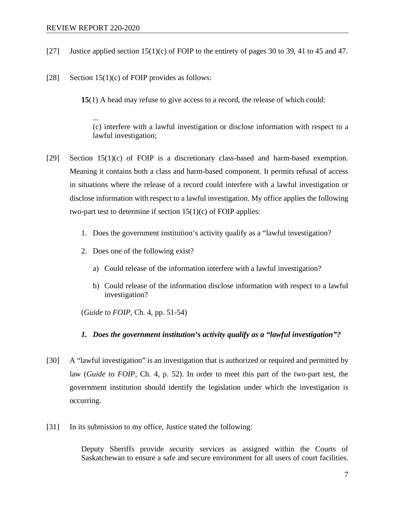- [27] Justice applied section 15(1)(c) of FOIP to the entirety of pages 30 to 39, 41 to 45 and 47.
- [28] Section  $15(1)(c)$  of FOIP provides as follows:

**15**(1) A head may refuse to give access to a record, the release of which could:

... (c) interfere with a lawful investigation or disclose information with respect to a lawful investigation;

- [29] Section 15(1)(c) of FOIP is a discretionary class-based and harm-based exemption. Meaning it contains both a class and harm-based component. It permits refusal of access in situations where the release of a record could interfere with a lawful investigation or disclose information with respect to a lawful investigation. My office applies the following two-part test to determine if section  $15(1)(c)$  of FOIP applies:
	- 1. Does the government institution's activity qualify as a "lawful investigation?
	- 2. Does one of the following exist?
		- a) Could release of the information interfere with a lawful investigation?
		- b) Could release of the information disclose information with respect to a lawful investigation?

(*Guide to FOIP*, Ch. 4, pp. 51-54)

- *1. Does the government institution's activity qualify as a "lawful investigation"?*
- [30] A "lawful investigation" is an investigation that is authorized or required and permitted by law (*Guide to FOIP*, Ch. 4, p. 52). In order to meet this part of the two-part test, the government institution should identify the legislation under which the investigation is occurring.
- [31] In its submission to my office, Justice stated the following:

Deputy Sheriffs provide security services as assigned within the Courts of Saskatchewan to ensure a safe and secure environment for all users of court facilities.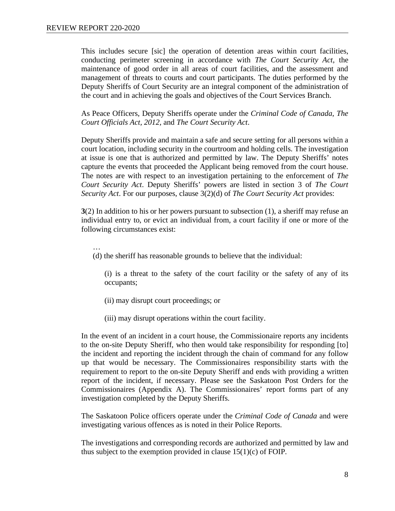This includes secure [sic] the operation of detention areas within court facilities, conducting perimeter screening in accordance with *The Court Security Act*, the maintenance of good order in all areas of court facilities, and the assessment and management of threats to courts and court participants. The duties performed by the Deputy Sheriffs of Court Security are an integral component of the administration of the court and in achieving the goals and objectives of the Court Services Branch.

As Peace Officers, Deputy Sheriffs operate under the *Criminal Code of Canada*, *The Court Officials Act, 2012,* and *The Court Security Act*.

Deputy Sheriffs provide and maintain a safe and secure setting for all persons within a court location, including security in the courtroom and holding cells. The investigation at issue is one that is authorized and permitted by law. The Deputy Sheriffs' notes capture the events that proceeded the Applicant being removed from the court house. The notes are with respect to an investigation pertaining to the enforcement of *The Court Security Act*. Deputy Sheriffs' powers are listed in section 3 of *The Court Security Act*. For our purposes, clause 3(2)(d) of *The Court Security Act* provides:

**3**(2) In addition to his or her powers pursuant to subsection (1), a sheriff may refuse an individual entry to, or evict an individual from, a court facility if one or more of the following circumstances exist:

… (d) the sheriff has reasonable grounds to believe that the individual:

(i) is a threat to the safety of the court facility or the safety of any of its occupants;

- (ii) may disrupt court proceedings; or
- (iii) may disrupt operations within the court facility.

In the event of an incident in a court house, the Commissionaire reports any incidents to the on-site Deputy Sheriff, who then would take responsibility for responding [to] the incident and reporting the incident through the chain of command for any follow up that would be necessary. The Commissionaires responsibility starts with the requirement to report to the on-site Deputy Sheriff and ends with providing a written report of the incident, if necessary. Please see the Saskatoon Post Orders for the Commissionaires (Appendix A). The Commissionaires' report forms part of any investigation completed by the Deputy Sheriffs.

The Saskatoon Police officers operate under the *Criminal Code of Canada* and were investigating various offences as is noted in their Police Reports.

The investigations and corresponding records are authorized and permitted by law and thus subject to the exemption provided in clause  $15(1)(c)$  of FOIP.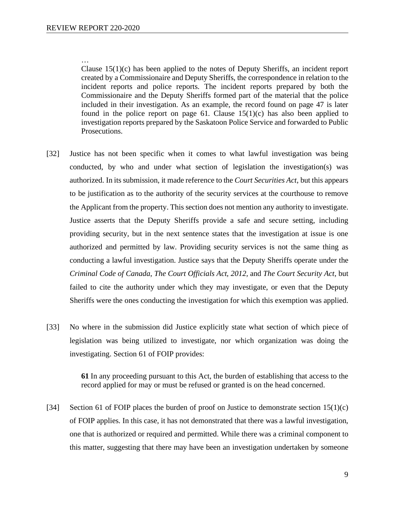…

Clause  $15(1)(c)$  has been applied to the notes of Deputy Sheriffs, an incident report created by a Commissionaire and Deputy Sheriffs, the correspondence in relation to the incident reports and police reports. The incident reports prepared by both the Commissionaire and the Deputy Sheriffs formed part of the material that the police included in their investigation. As an example, the record found on page 47 is later found in the police report on page 61. Clause  $15(1)(c)$  has also been applied to investigation reports prepared by the Saskatoon Police Service and forwarded to Public Prosecutions.

- [32] Justice has not been specific when it comes to what lawful investigation was being conducted, by who and under what section of legislation the investigation(s) was authorized. In its submission, it made reference to the *Court Securities Act*, but this appears to be justification as to the authority of the security services at the courthouse to remove the Applicant from the property. This section does not mention any authority to investigate. Justice asserts that the Deputy Sheriffs provide a safe and secure setting, including providing security, but in the next sentence states that the investigation at issue is one authorized and permitted by law. Providing security services is not the same thing as conducting a lawful investigation. Justice says that the Deputy Sheriffs operate under the *Criminal Code of Canada*, *The Court Officials Act, 2012,* and *The Court Security Act*, but failed to cite the authority under which they may investigate, or even that the Deputy Sheriffs were the ones conducting the investigation for which this exemption was applied.
- [33] No where in the submission did Justice explicitly state what section of which piece of legislation was being utilized to investigate, nor which organization was doing the investigating. Section 61 of FOIP provides:

**61** In any proceeding pursuant to this Act, the burden of establishing that access to the record applied for may or must be refused or granted is on the head concerned.

[34] Section 61 of FOIP places the burden of proof on Justice to demonstrate section  $15(1)(c)$ of FOIP applies. In this case, it has not demonstrated that there was a lawful investigation, one that is authorized or required and permitted. While there was a criminal component to this matter, suggesting that there may have been an investigation undertaken by someone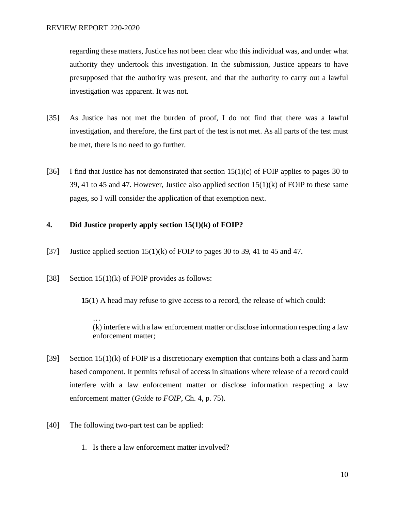regarding these matters, Justice has not been clear who this individual was, and under what authority they undertook this investigation. In the submission, Justice appears to have presupposed that the authority was present, and that the authority to carry out a lawful investigation was apparent. It was not.

- [35] As Justice has not met the burden of proof, I do not find that there was a lawful investigation, and therefore, the first part of the test is not met. As all parts of the test must be met, there is no need to go further.
- [36] I find that Justice has not demonstrated that section  $15(1)(c)$  of FOIP applies to pages 30 to 39, 41 to 45 and 47. However, Justice also applied section  $15(1)(k)$  of FOIP to these same pages, so I will consider the application of that exemption next.

## **4. Did Justice properly apply section 15(1)(k) of FOIP?**

- [37] Justice applied section  $15(1)(k)$  of FOIP to pages 30 to 39, 41 to 45 and 47.
- [38] Section  $15(1)(k)$  of FOIP provides as follows:

**15**(1) A head may refuse to give access to a record, the release of which could:

… (k) interfere with a law enforcement matter or disclose information respecting a law enforcement matter;

- [39] Section  $15(1)(k)$  of FOIP is a discretionary exemption that contains both a class and harm based component. It permits refusal of access in situations where release of a record could interfere with a law enforcement matter or disclose information respecting a law enforcement matter (*Guide to FOIP*, Ch. 4, p. 75).
- [40] The following two-part test can be applied:
	- 1. Is there a law enforcement matter involved?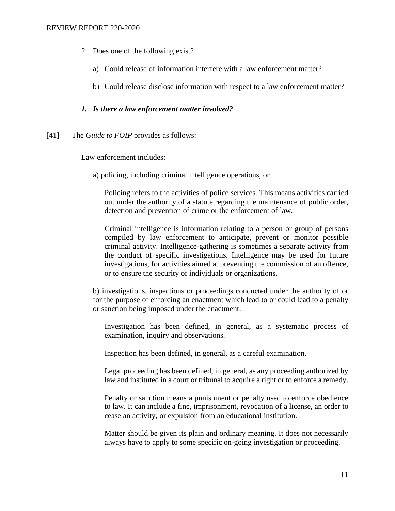- 2. Does one of the following exist?
	- a) Could release of information interfere with a law enforcement matter?
	- b) Could release disclose information with respect to a law enforcement matter?

## *1. Is there a law enforcement matter involved?*

[41] The *Guide to FOIP* provides as follows:

Law enforcement includes:

a) policing, including criminal intelligence operations, or

Policing refers to the activities of police services. This means activities carried out under the authority of a statute regarding the maintenance of public order, detection and prevention of crime or the enforcement of law.

Criminal intelligence is information relating to a person or group of persons compiled by law enforcement to anticipate, prevent or monitor possible criminal activity. Intelligence-gathering is sometimes a separate activity from the conduct of specific investigations. Intelligence may be used for future investigations, for activities aimed at preventing the commission of an offence, or to ensure the security of individuals or organizations.

b) investigations, inspections or proceedings conducted under the authority of or for the purpose of enforcing an enactment which lead to or could lead to a penalty or sanction being imposed under the enactment.

Investigation has been defined, in general, as a systematic process of examination, inquiry and observations.

Inspection has been defined, in general, as a careful examination.

Legal proceeding has been defined, in general, as any proceeding authorized by law and instituted in a court or tribunal to acquire a right or to enforce a remedy.

Penalty or sanction means a punishment or penalty used to enforce obedience to law. It can include a fine, imprisonment, revocation of a license, an order to cease an activity, or expulsion from an educational institution.

Matter should be given its plain and ordinary meaning. It does not necessarily always have to apply to some specific on-going investigation or proceeding.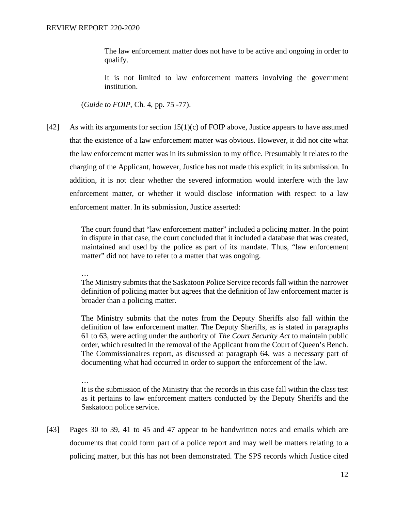The law enforcement matter does not have to be active and ongoing in order to qualify.

It is not limited to law enforcement matters involving the government institution.

(*Guide to FOIP*, Ch. 4, pp. 75 -77).

[42] As with its arguments for section  $15(1)(c)$  of FOIP above, Justice appears to have assumed that the existence of a law enforcement matter was obvious. However, it did not cite what the law enforcement matter was in its submission to my office. Presumably it relates to the charging of the Applicant, however, Justice has not made this explicit in its submission. In addition, it is not clear whether the severed information would interfere with the law enforcement matter, or whether it would disclose information with respect to a law enforcement matter. In its submission, Justice asserted:

> The court found that "law enforcement matter" included a policing matter. In the point in dispute in that case, the court concluded that it included a database that was created, maintained and used by the police as part of its mandate. Thus, "law enforcement matter" did not have to refer to a matter that was ongoing.

…

The Ministry submits that the Saskatoon Police Service records fall within the narrower definition of policing matter but agrees that the definition of law enforcement matter is broader than a policing matter.

The Ministry submits that the notes from the Deputy Sheriffs also fall within the definition of law enforcement matter. The Deputy Sheriffs, as is stated in paragraphs 61 to 63, were acting under the authority of *The Court Security Act* to maintain public order, which resulted in the removal of the Applicant from the Court of Queen's Bench. The Commissionaires report, as discussed at paragraph 64, was a necessary part of documenting what had occurred in order to support the enforcement of the law.

… It is the submission of the Ministry that the records in this case fall within the class test as it pertains to law enforcement matters conducted by the Deputy Sheriffs and the Saskatoon police service.

[43] Pages 30 to 39, 41 to 45 and 47 appear to be handwritten notes and emails which are documents that could form part of a police report and may well be matters relating to a policing matter, but this has not been demonstrated. The SPS records which Justice cited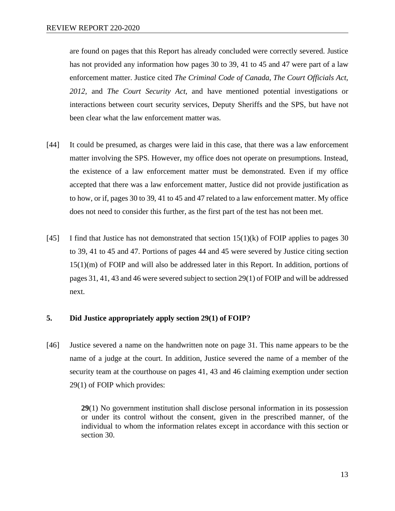are found on pages that this Report has already concluded were correctly severed. Justice has not provided any information how pages 30 to 39, 41 to 45 and 47 were part of a law enforcement matter. Justice cited *The Criminal Code of Canada*, *The Court Officials Act, 2012,* and *The Court Security Act,* and have mentioned potential investigations or interactions between court security services, Deputy Sheriffs and the SPS, but have not been clear what the law enforcement matter was.

- [44] It could be presumed, as charges were laid in this case, that there was a law enforcement matter involving the SPS. However, my office does not operate on presumptions. Instead, the existence of a law enforcement matter must be demonstrated. Even if my office accepted that there was a law enforcement matter, Justice did not provide justification as to how, or if, pages 30 to 39, 41 to 45 and 47 related to a law enforcement matter. My office does not need to consider this further, as the first part of the test has not been met.
- [45] I find that Justice has not demonstrated that section  $15(1)(k)$  of FOIP applies to pages 30 to 39, 41 to 45 and 47. Portions of pages 44 and 45 were severed by Justice citing section 15(1)(m) of FOIP and will also be addressed later in this Report. In addition, portions of pages 31, 41, 43 and 46 were severed subject to section 29(1) of FOIP and will be addressed next.

## **5. Did Justice appropriately apply section 29(1) of FOIP?**

[46] Justice severed a name on the handwritten note on page 31. This name appears to be the name of a judge at the court. In addition, Justice severed the name of a member of the security team at the courthouse on pages 41, 43 and 46 claiming exemption under section 29(1) of FOIP which provides:

> **29**(1) No government institution shall disclose personal information in its possession or under its control without the consent, given in the prescribed manner, of the individual to whom the information relates except in accordance with this section or section 30.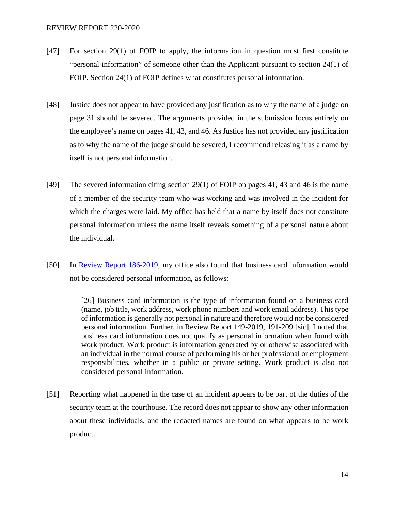- [47] For section 29(1) of FOIP to apply, the information in question must first constitute "personal information" of someone other than the Applicant pursuant to section 24(1) of FOIP. Section 24(1) of FOIP defines what constitutes personal information.
- [48] Justice does not appear to have provided any justification as to why the name of a judge on page 31 should be severed. The arguments provided in the submission focus entirely on the employee's name on pages 41, 43, and 46. As Justice has not provided any justification as to why the name of the judge should be severed, I recommend releasing it as a name by itself is not personal information.
- [49] The severed information citing section 29(1) of FOIP on pages 41, 43 and 46 is the name of a member of the security team who was working and was involved in the incident for which the charges were laid. My office has held that a name by itself does not constitute personal information unless the name itself reveals something of a personal nature about the individual.
- [50] In <u>Review Report 186-2019</u>, my office also found that business card information would not be considered personal information, as follows:

[26] Business card information is the type of information found on a business card (name, job title, work address, work phone numbers and work email address). This type of information is generally not personal in nature and therefore would not be considered personal information. Further, in Review Report 149-2019, 191-209 [sic], I noted that business card information does not qualify as personal information when found with work product. Work product is information generated by or otherwise associated with an individual in the normal course of performing his or her professional or employment responsibilities, whether in a public or private setting. Work product is also not considered personal information.

[51] Reporting what happened in the case of an incident appears to be part of the duties of the security team at the courthouse. The record does not appear to show any other information about these individuals, and the redacted names are found on what appears to be work product.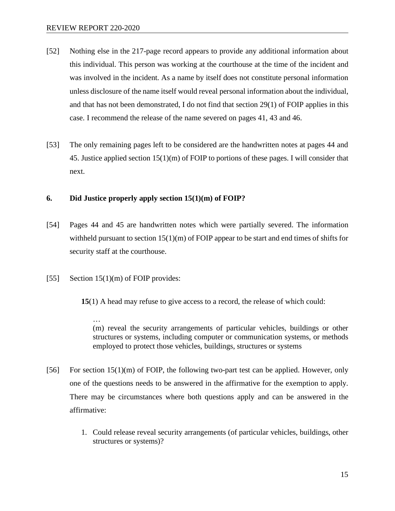- [52] Nothing else in the 217-page record appears to provide any additional information about this individual. This person was working at the courthouse at the time of the incident and was involved in the incident. As a name by itself does not constitute personal information unless disclosure of the name itself would reveal personal information about the individual, and that has not been demonstrated, I do not find that section 29(1) of FOIP applies in this case. I recommend the release of the name severed on pages 41, 43 and 46.
- [53] The only remaining pages left to be considered are the handwritten notes at pages 44 and 45. Justice applied section  $15(1)(m)$  of FOIP to portions of these pages. I will consider that next.

## **6. Did Justice properly apply section 15(1)(m) of FOIP?**

- [54] Pages 44 and 45 are handwritten notes which were partially severed. The information withheld pursuant to section  $15(1)(m)$  of FOIP appear to be start and end times of shifts for security staff at the courthouse.
- [55] Section 15(1)(m) of FOIP provides:

**15**(1) A head may refuse to give access to a record, the release of which could:

… (m) reveal the security arrangements of particular vehicles, buildings or other structures or systems, including computer or communication systems, or methods employed to protect those vehicles, buildings, structures or systems

- [56] For section 15(1)(m) of FOIP, the following two-part test can be applied. However, only one of the questions needs to be answered in the affirmative for the exemption to apply. There may be circumstances where both questions apply and can be answered in the affirmative:
	- 1. Could release reveal security arrangements (of particular vehicles, buildings, other structures or systems)?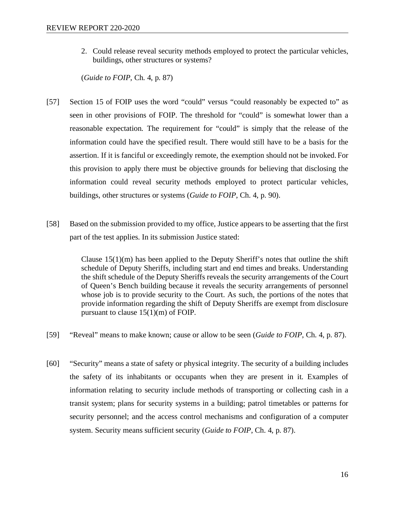2. Could release reveal security methods employed to protect the particular vehicles, buildings, other structures or systems?

(*Guide to FOIP*, Ch. 4, p. 87)

- [57] Section 15 of FOIP uses the word "could" versus "could reasonably be expected to" as seen in other provisions of FOIP. The threshold for "could" is somewhat lower than a reasonable expectation*.* The requirement for "could" is simply that the release of the information could have the specified result. There would still have to be a basis for the assertion. If it is fanciful or exceedingly remote, the exemption should not be invoked. For this provision to apply there must be objective grounds for believing that disclosing the information could reveal security methods employed to protect particular vehicles, buildings, other structures or systems (*Guide to FOIP*, Ch. 4, p. 90).
- [58] Based on the submission provided to my office, Justice appears to be asserting that the first part of the test applies. In its submission Justice stated:

Clause  $15(1)(m)$  has been applied to the Deputy Sheriff's notes that outline the shift schedule of Deputy Sheriffs, including start and end times and breaks. Understanding the shift schedule of the Deputy Sheriffs reveals the security arrangements of the Court of Queen's Bench building because it reveals the security arrangements of personnel whose job is to provide security to the Court. As such, the portions of the notes that provide information regarding the shift of Deputy Sheriffs are exempt from disclosure pursuant to clause 15(1)(m) of FOIP.

- [59] "Reveal" means to make known; cause or allow to be seen (*Guide to FOIP*, Ch. 4, p. 87).
- [60] "Security" means a state of safety or physical integrity. The security of a building includes the safety of its inhabitants or occupants when they are present in it. Examples of information relating to security include methods of transporting or collecting cash in a transit system; plans for security systems in a building; patrol timetables or patterns for security personnel; and the access control mechanisms and configuration of a computer system. Security means sufficient security (*Guide to FOIP*, Ch. 4, p. 87).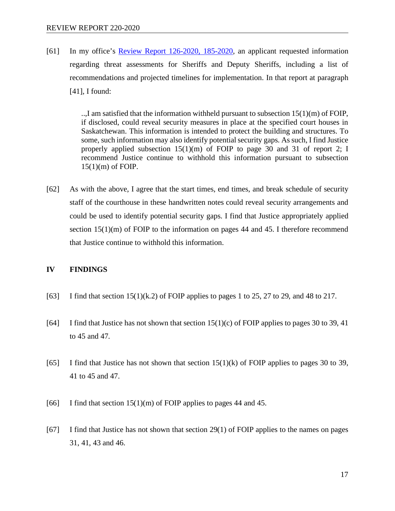[61] In my office's [Review Report 126-2020, 185-2020,](https://oipc.sk.ca/assets/foip-review-126-2020-185-2020.pdf) an applicant requested information regarding threat assessments for Sheriffs and Deputy Sheriffs, including a list of recommendations and projected timelines for implementation. In that report at paragraph [41], I found:

> ..,I am satisfied that the information withheld pursuant to subsection 15(1)(m) of FOIP, if disclosed, could reveal security measures in place at the specified court houses in Saskatchewan. This information is intended to protect the building and structures. To some, such information may also identify potential security gaps. As such, I find Justice properly applied subsection 15(1)(m) of FOIP to page 30 and 31 of report 2; I recommend Justice continue to withhold this information pursuant to subsection 15(1)(m) of FOIP.

[62] As with the above, I agree that the start times, end times, and break schedule of security staff of the courthouse in these handwritten notes could reveal security arrangements and could be used to identify potential security gaps. I find that Justice appropriately applied section 15(1)(m) of FOIP to the information on pages 44 and 45. I therefore recommend that Justice continue to withhold this information.

## **IV FINDINGS**

- [63] I find that section  $15(1)(k.2)$  of FOIP applies to pages 1 to 25, 27 to 29, and 48 to 217.
- [64] I find that Justice has not shown that section  $15(1)(c)$  of FOIP applies to pages 30 to 39, 41 to 45 and 47.
- [65] I find that Justice has not shown that section  $15(1)(k)$  of FOIP applies to pages 30 to 39, 41 to 45 and 47.
- [66] I find that section  $15(1)(m)$  of FOIP applies to pages 44 and 45.
- [67] I find that Justice has not shown that section 29(1) of FOIP applies to the names on pages 31, 41, 43 and 46.